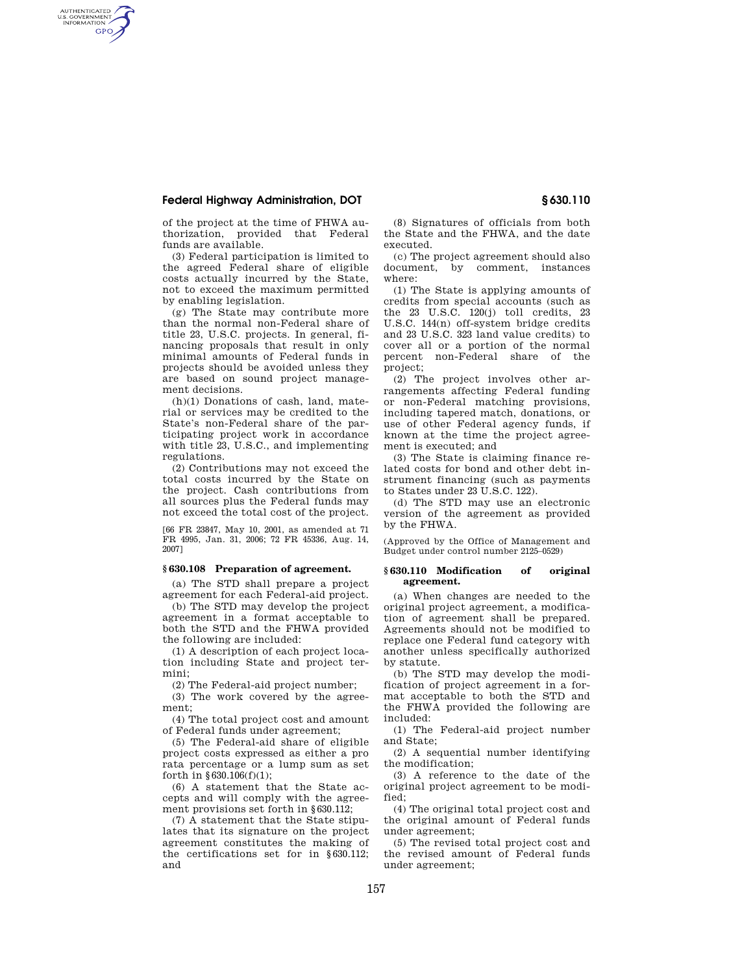## **Federal Highway Administration, DOT § 630.110**

AUTHENTICATED<br>U.S. GOVERNMENT<br>INFORMATION **GPO** 

> of the project at the time of FHWA authorization, provided that Federal funds are available.

> (3) Federal participation is limited to the agreed Federal share of eligible costs actually incurred by the State, not to exceed the maximum permitted by enabling legislation.

> (g) The State may contribute more than the normal non-Federal share of title 23, U.S.C. projects. In general, financing proposals that result in only minimal amounts of Federal funds in projects should be avoided unless they are based on sound project management decisions.

> (h)(1) Donations of cash, land, material or services may be credited to the State's non-Federal share of the participating project work in accordance with title 23, U.S.C., and implementing regulations.

> (2) Contributions may not exceed the total costs incurred by the State on the project. Cash contributions from all sources plus the Federal funds may not exceed the total cost of the project.

> [66 FR 23847, May 10, 2001, as amended at 71 FR 4995, Jan. 31, 2006; 72 FR 45336, Aug. 14, 2007]

### **§ 630.108 Preparation of agreement.**

(a) The STD shall prepare a project agreement for each Federal-aid project.

(b) The STD may develop the project agreement in a format acceptable to both the STD and the FHWA provided the following are included:

(1) A description of each project location including State and project termini;

(2) The Federal-aid project number;

(3) The work covered by the agreement;

(4) The total project cost and amount of Federal funds under agreement;

(5) The Federal-aid share of eligible project costs expressed as either a pro rata percentage or a lump sum as set forth in §630.106(f)(1);

(6) A statement that the State accepts and will comply with the agreement provisions set forth in  $$630.112$ ;

(7) A statement that the State stipulates that its signature on the project agreement constitutes the making of the certifications set for in §630.112; and

(8) Signatures of officials from both the State and the FHWA, and the date executed.

(c) The project agreement should also document, by comment, instances where:

(1) The State is applying amounts of credits from special accounts (such as the 23 U.S.C. 120(j) toll credits, 23 U.S.C. 144(n) off-system bridge credits and 23 U.S.C. 323 land value credits) to cover all or a portion of the normal percent non-Federal share of the project;

(2) The project involves other arrangements affecting Federal funding or non-Federal matching provisions, including tapered match, donations, or use of other Federal agency funds, if known at the time the project agreement is executed; and

(3) The State is claiming finance related costs for bond and other debt instrument financing (such as payments to States under 23 U.S.C. 122).

(d) The STD may use an electronic version of the agreement as provided by the FHWA.

(Approved by the Office of Management and Budget under control number 2125–0529)

#### **§ 630.110 Modification of original agreement.**

(a) When changes are needed to the original project agreement, a modification of agreement shall be prepared. Agreements should not be modified to replace one Federal fund category with another unless specifically authorized by statute.

(b) The STD may develop the modification of project agreement in a format acceptable to both the STD and the FHWA provided the following are included:

(1) The Federal-aid project number and State;

(2) A sequential number identifying the modification;

(3) A reference to the date of the original project agreement to be modified;

(4) The original total project cost and the original amount of Federal funds under agreement;

(5) The revised total project cost and the revised amount of Federal funds under agreement;